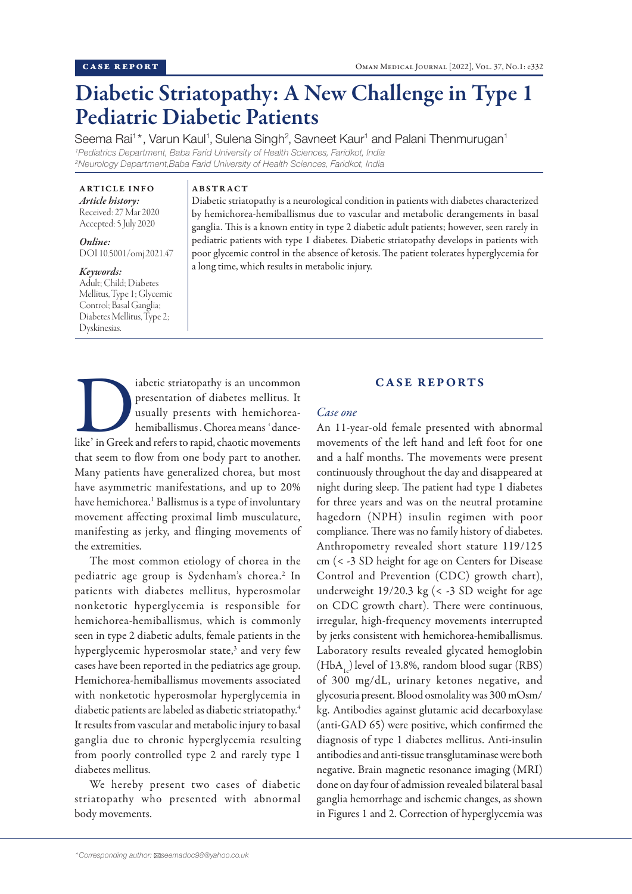# Diabetic Striatopathy: A New Challenge in Type 1 Pediatric Diabetic Patients

Seema Rai<sup>1\*</sup>, Varun Kaul<sup>1</sup>, Sulena Singh<sup>2</sup>, Savneet Kaur<sup>1</sup> and Palani Thenmurugan<sup>1</sup> *1 Pediatrics Department, Baba Farid University of Health Sciences, Faridkot, India 2 Neurology Department,Baba Farid University of Health Sciences, Faridkot, India*

ARTICLE INFO *Article history:*

Received: 27 Mar 2020 Accepted: 5 July 2020

*Online:* DOI 10.5001/omj.2021.47

*Keywords:*  Adult; Child; Diabetes Mellitus, Type 1; Glycemic Control; Basal Ganglia; Diabetes Mellitus, Type 2;

Dyskinesias.

## ABSTRACT

Diabetic striatopathy is a neurological condition in patients with diabetes characterized by hemichorea-hemiballismus due to vascular and metabolic derangements in basal ganglia. This is a known entity in type 2 diabetic adult patients; however, seen rarely in pediatric patients with type 1 diabetes. Diabetic striatopathy develops in patients with poor glycemic control in the absence of ketosis. The patient tolerates hyperglycemia for a long time, which results in metabolic injury.

abetic striatopathy is an uncommon<br>presentation of diabetes mellitus. It<br>usually presents with hemichorea-<br>hemiballismus. Chorea means 'dance-<br>like' in Greek and refers to rapid, chaotic movements presentation of diabetes mellitus. It usually presents with hemichoreahemiballismus . Chorea means 'dancethat seem to flow from one body part to another. Many patients have generalized chorea, but most have asymmetric manifestations, and up to 20% have hemichorea.<sup>1</sup> Ballismus is a type of involuntary movement affecting proximal limb musculature, manifesting as jerky, and flinging movements of the extremities.

The most common etiology of chorea in the pediatric age group is Sydenham's chorea.<sup>2</sup> In patients with diabetes mellitus, hyperosmolar nonketotic hyperglycemia is responsible for hemichorea-hemiballismus, which is commonly seen in type 2 diabetic adults, female patients in the hyperglycemic hyperosmolar state,<sup>3</sup> and very few cases have been reported in the pediatrics age group. Hemichorea-hemiballismus movements associated with nonketotic hyperosmolar hyperglycemia in diabetic patients are labeled as diabetic striatopathy.4 It results from vascular and metabolic injury to basal ganglia due to chronic hyperglycemia resulting from poorly controlled type 2 and rarely type 1 diabetes mellitus.

We hereby present two cases of diabetic striatopathy who presented with abnormal body movements.

#### CASE REPORTS

#### *Case one*

An 11-year-old female presented with abnormal movements of the left hand and left foot for one and a half months. The movements were present continuously throughout the day and disappeared at night during sleep. The patient had type 1 diabetes for three years and was on the neutral protamine hagedorn (NPH) insulin regimen with poor compliance. There was no family history of diabetes. Anthropometry revealed short stature 119/125 cm (< -3 SD height for age on Centers for Disease Control and Prevention (CDC) growth chart), underweight 19/20.3 kg (< -3 SD weight for age on CDC growth chart). There were continuous, irregular, high-frequency movements interrupted by jerks consistent with hemichorea-hemiballismus. Laboratory results revealed glycated hemoglobin  $(HbA<sub>1c</sub>)$  level of 13.8%, random blood sugar (RBS) of 300 mg/dL, urinary ketones negative, and glycosuria present. Blood osmolality was 300 mOsm/ kg. Antibodies against glutamic acid decarboxylase (anti-GAD 65) were positive, which confirmed the diagnosis of type 1 diabetes mellitus. Anti-insulin antibodies and anti-tissue transglutaminase were both negative. Brain magnetic resonance imaging (MRI) done on day four of admission revealed bilateral basal ganglia hemorrhage and ischemic changes, as shown in Figures 1 and 2. Correction of hyperglycemia was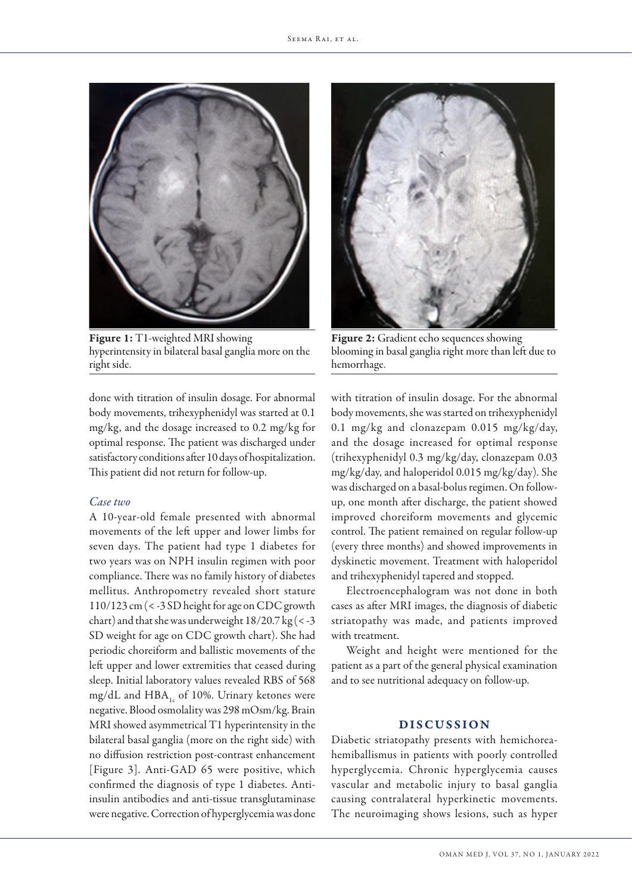

Figure 1: T1-weighted MRI showing hyperintensity in bilateral basal ganglia more on the right side.

done with titration of insulin dosage. For abnormal body movements, trihexyphenidyl was started at 0.1 mg/kg, and the dosage increased to 0.2 mg/kg for optimal response. The patient was discharged under satisfactory conditions after 10 days of hospitalization. This patient did not return for follow-up.

### *Case two*

A 10-year-old female presented with abnormal movements of the left upper and lower limbs for seven days. The patient had type 1 diabetes for two years was on NPH insulin regimen with poor compliance. There was no family history of diabetes mellitus. Anthropometry revealed short stature 110/123 cm (< -3 SD height for age on CDC growth chart) and that she was underweight  $18/20.7 \text{ kg}$  (< -3 SD weight for age on CDC growth chart). She had periodic choreiform and ballistic movements of the left upper and lower extremities that ceased during sleep. Initial laboratory values revealed RBS of 568 mg/dL and  $\rm{HBA}_{1c}$  of 10%. Urinary ketones were negative. Blood osmolality was 298 mOsm/kg. Brain MRI showed asymmetrical T1 hyperintensity in the bilateral basal ganglia (more on the right side) with no diffusion restriction post-contrast enhancement [Figure 3]. Anti-GAD 65 were positive, which confirmed the diagnosis of type 1 diabetes. Antiinsulin antibodies and anti-tissue transglutaminase were negative. Correction of hyperglycemia was done



Figure 2: Gradient echo sequences showing blooming in basal ganglia right more than left due to hemorrhage.

with titration of insulin dosage. For the abnormal body movements, she was started on trihexyphenidyl 0.1 mg/kg and clonazepam 0.015 mg/kg/day, and the dosage increased for optimal response (trihexyphenidyl 0.3 mg/kg/day, clonazepam 0.03 mg/kg/day, and haloperidol 0.015 mg/kg/day). She was discharged on a basal-bolus regimen. On followup, one month after discharge, the patient showed improved choreiform movements and glycemic control. The patient remained on regular follow-up (every three months) and showed improvements in dyskinetic movement. Treatment with haloperidol and trihexyphenidyl tapered and stopped.

Electroencephalogram was not done in both cases as after MRI images, the diagnosis of diabetic striatopathy was made, and patients improved with treatment.

Weight and height were mentioned for the patient as a part of the general physical examination and to see nutritional adequacy on follow-up.

## DISCUSSION

Diabetic striatopathy presents with hemichoreahemiballismus in patients with poorly controlled hyperglycemia. Chronic hyperglycemia causes vascular and metabolic injury to basal ganglia causing contralateral hyperkinetic movements. The neuroimaging shows lesions, such as hyper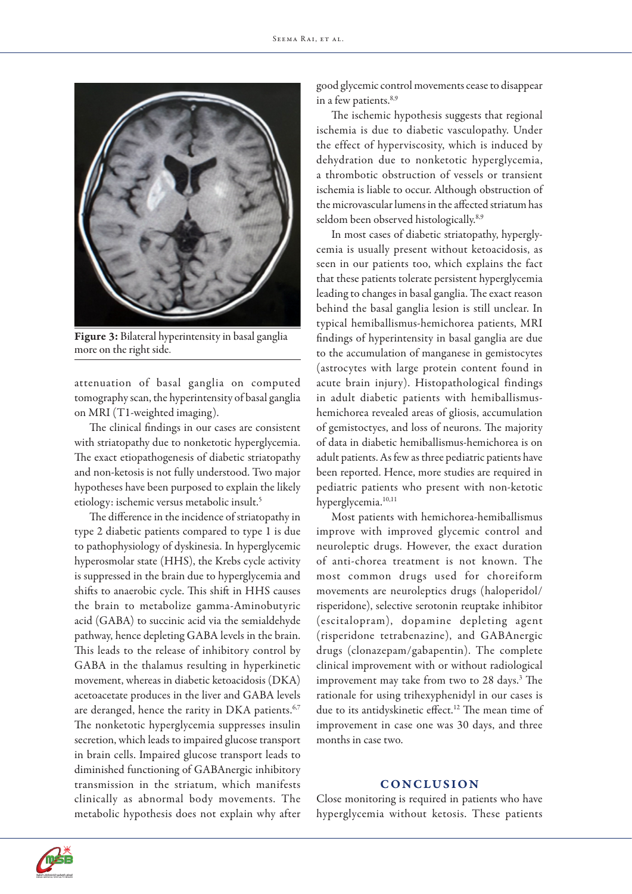

Figure 3: Bilateral hyperintensity in basal ganglia more on the right side.

attenuation of basal ganglia on computed tomography scan, the hyperintensity of basal ganglia on MRI (T1-weighted imaging).

The clinical findings in our cases are consistent with striatopathy due to nonketotic hyperglycemia. The exact etiopathogenesis of diabetic striatopathy and non-ketosis is not fully understood. Two major hypotheses have been purposed to explain the likely etiology: ischemic versus metabolic insult.5

The difference in the incidence of striatopathy in type 2 diabetic patients compared to type 1 is due to pathophysiology of dyskinesia. In hyperglycemic hyperosmolar state (HHS), the Krebs cycle activity is suppressed in the brain due to hyperglycemia and shifts to anaerobic cycle. This shift in HHS causes the brain to metabolize gamma-Aminobutyric acid (GABA) to succinic acid via the semialdehyde pathway, hence depleting GABA levels in the brain. This leads to the release of inhibitory control by GABA in the thalamus resulting in hyperkinetic movement, whereas in diabetic ketoacidosis (DKA) acetoacetate produces in the liver and GABA levels are deranged, hence the rarity in DKA patients.<sup>6,7</sup> The nonketotic hyperglycemia suppresses insulin secretion, which leads to impaired glucose transport in brain cells. Impaired glucose transport leads to diminished functioning of GABAnergic inhibitory transmission in the striatum, which manifests clinically as abnormal body movements. The metabolic hypothesis does not explain why after

good glycemic control movements cease to disappear in a few patients.<sup>8,9</sup>

The ischemic hypothesis suggests that regional ischemia is due to diabetic vasculopathy. Under the effect of hyperviscosity, which is induced by dehydration due to nonketotic hyperglycemia, a thrombotic obstruction of vessels or transient ischemia is liable to occur. Although obstruction of the microvascular lumens in the affected striatum has seldom been observed histologically.<sup>8,9</sup>

In most cases of diabetic striatopathy, hyperglycemia is usually present without ketoacidosis, as seen in our patients too, which explains the fact that these patients tolerate persistent hyperglycemia leading to changes in basal ganglia. The exact reason behind the basal ganglia lesion is still unclear. In typical hemiballismus-hemichorea patients, MRI findings of hyperintensity in basal ganglia are due to the accumulation of manganese in gemistocytes (astrocytes with large protein content found in acute brain injury). Histopathological findings in adult diabetic patients with hemiballismushemichorea revealed areas of gliosis, accumulation of gemistoctyes, and loss of neurons. The majority of data in diabetic hemiballismus-hemichorea is on adult patients. As few as three pediatric patients have been reported. Hence, more studies are required in pediatric patients who present with non-ketotic hyperglycemia.<sup>10,11</sup>

Most patients with hemichorea-hemiballismus improve with improved glycemic control and neuroleptic drugs. However, the exact duration of anti-chorea treatment is not known. The most common drugs used for choreiform movements are neuroleptics drugs (haloperidol/ risperidone), selective serotonin reuptake inhibitor (escitalopram), dopamine depleting agent (risperidone tetrabenazine), and GABAnergic drugs (clonazepam/gabapentin). The complete clinical improvement with or without radiological improvement may take from two to 28 days.<sup>3</sup> The rationale for using trihexyphenidyl in our cases is due to its antidyskinetic effect.<sup>12</sup> The mean time of improvement in case one was 30 days, and three months in case two.

## **CONCLUSION**

Close monitoring is required in patients who have hyperglycemia without ketosis. These patients